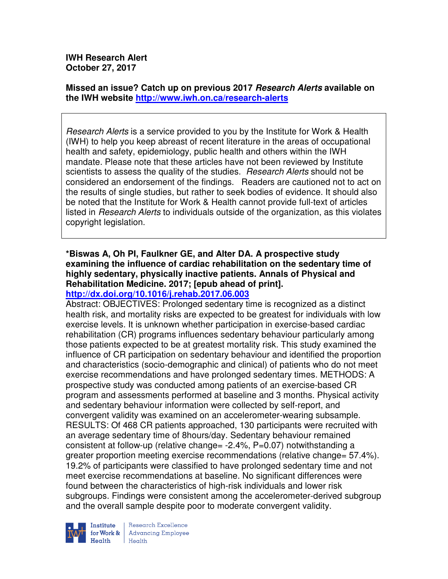## **Missed an issue? Catch up on previous 2017 Research Alerts available on the IWH website http://www.iwh.on.ca/research-alerts**

Research Alerts is a service provided to you by the Institute for Work & Health (IWH) to help you keep abreast of recent literature in the areas of occupational health and safety, epidemiology, public health and others within the IWH mandate. Please note that these articles have not been reviewed by Institute scientists to assess the quality of the studies. Research Alerts should not be considered an endorsement of the findings. Readers are cautioned not to act on the results of single studies, but rather to seek bodies of evidence. It should also be noted that the Institute for Work & Health cannot provide full-text of articles listed in Research Alerts to individuals outside of the organization, as this violates copyright legislation.

# **\*Biswas A, Oh PI, Faulkner GE, and Alter DA. A prospective study examining the influence of cardiac rehabilitation on the sedentary time of highly sedentary, physically inactive patients. Annals of Physical and Rehabilitation Medicine. 2017; [epub ahead of print].**

# **http://dx.doi.org/10.1016/j.rehab.2017.06.003**

Abstract: OBJECTIVES: Prolonged sedentary time is recognized as a distinct health risk, and mortality risks are expected to be greatest for individuals with low exercise levels. It is unknown whether participation in exercise-based cardiac rehabilitation (CR) programs influences sedentary behaviour particularly among those patients expected to be at greatest mortality risk. This study examined the influence of CR participation on sedentary behaviour and identified the proportion and characteristics (socio-demographic and clinical) of patients who do not meet exercise recommendations and have prolonged sedentary times. METHODS: A prospective study was conducted among patients of an exercise-based CR program and assessments performed at baseline and 3 months. Physical activity and sedentary behaviour information were collected by self-report, and convergent validity was examined on an accelerometer-wearing subsample. RESULTS: Of 468 CR patients approached, 130 participants were recruited with an average sedentary time of 8hours/day. Sedentary behaviour remained consistent at follow-up (relative change= -2.4%, P=0.07) notwithstanding a greater proportion meeting exercise recommendations (relative change= 57.4%). 19.2% of participants were classified to have prolonged sedentary time and not meet exercise recommendations at baseline. No significant differences were found between the characteristics of high-risk individuals and lower risk subgroups. Findings were consistent among the accelerometer-derived subgroup and the overall sample despite poor to moderate convergent validity.



Research Excellence for Work & | Advancing Employee  $H_{\text{each}}$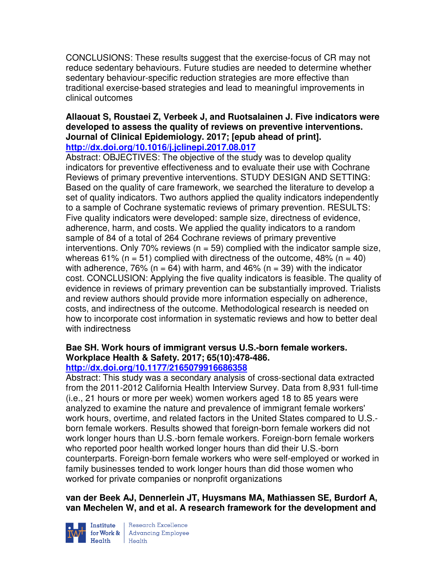CONCLUSIONS: These results suggest that the exercise-focus of CR may not reduce sedentary behaviours. Future studies are needed to determine whether sedentary behaviour-specific reduction strategies are more effective than traditional exercise-based strategies and lead to meaningful improvements in clinical outcomes

### **Allaouat S, Roustaei Z, Verbeek J, and Ruotsalainen J. Five indicators were developed to assess the quality of reviews on preventive interventions. Journal of Clinical Epidemiology. 2017; [epub ahead of print]. http://dx.doi.org/10.1016/j.jclinepi.2017.08.017**

Abstract: OBJECTIVES: The objective of the study was to develop quality indicators for preventive effectiveness and to evaluate their use with Cochrane Reviews of primary preventive interventions. STUDY DESIGN AND SETTING: Based on the quality of care framework, we searched the literature to develop a set of quality indicators. Two authors applied the quality indicators independently to a sample of Cochrane systematic reviews of primary prevention. RESULTS: Five quality indicators were developed: sample size, directness of evidence, adherence, harm, and costs. We applied the quality indicators to a random sample of 84 of a total of 264 Cochrane reviews of primary preventive interventions. Only 70% reviews ( $n = 59$ ) complied with the indicator sample size, whereas  $61\%$  (n = 51) complied with directness of the outcome, 48% (n = 40) with adherence, 76% (n = 64) with harm, and 46% (n = 39) with the indicator cost. CONCLUSION: Applying the five quality indicators is feasible. The quality of evidence in reviews of primary prevention can be substantially improved. Trialists and review authors should provide more information especially on adherence, costs, and indirectness of the outcome. Methodological research is needed on how to incorporate cost information in systematic reviews and how to better deal with indirectness

#### **Bae SH. Work hours of immigrant versus U.S.-born female workers. Workplace Health & Safety. 2017; 65(10):478-486. http://dx.doi.org/10.1177/2165079916686358**

Abstract: This study was a secondary analysis of cross-sectional data extracted from the 2011-2012 California Health Interview Survey. Data from 8,931 full-time (i.e., 21 hours or more per week) women workers aged 18 to 85 years were analyzed to examine the nature and prevalence of immigrant female workers' work hours, overtime, and related factors in the United States compared to U.S. born female workers. Results showed that foreign-born female workers did not work longer hours than U.S.-born female workers. Foreign-born female workers who reported poor health worked longer hours than did their U.S.-born counterparts. Foreign-born female workers who were self-employed or worked in family businesses tended to work longer hours than did those women who worked for private companies or nonprofit organizations

**van der Beek AJ, Dennerlein JT, Huysmans MA, Mathiassen SE, Burdorf A, van Mechelen W, and et al. A research framework for the development and** 



**Institute** Research Excellence<br> **for Work &** Advancing Employee<br> **Health** Health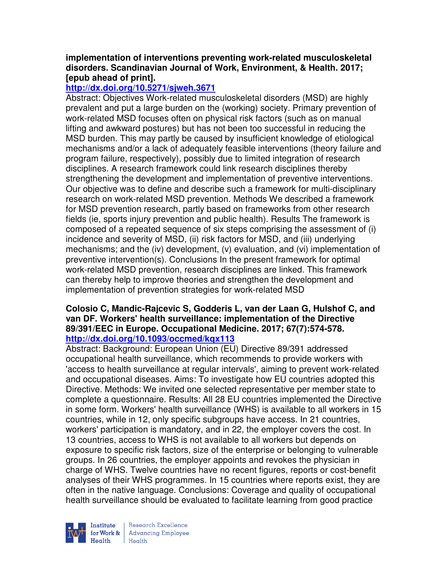## **implementation of interventions preventing work-related musculoskeletal disorders. Scandinavian Journal of Work, Environment, & Health. 2017; [epub ahead of print].**

# **http://dx.doi.org/10.5271/sjweh.3671**

Abstract: Objectives Work-related musculoskeletal disorders (MSD) are highly prevalent and put a large burden on the (working) society. Primary prevention of work-related MSD focuses often on physical risk factors (such as on manual lifting and awkward postures) but has not been too successful in reducing the MSD burden. This may partly be caused by insufficient knowledge of etiological mechanisms and/or a lack of adequately feasible interventions (theory failure and program failure, respectively), possibly due to limited integration of research disciplines. A research framework could link research disciplines thereby strengthening the development and implementation of preventive interventions. Our objective was to define and describe such a framework for multi-disciplinary research on work-related MSD prevention. Methods We described a framework for MSD prevention research, partly based on frameworks from other research fields (ie, sports injury prevention and public health). Results The framework is composed of a repeated sequence of six steps comprising the assessment of (i) incidence and severity of MSD, (ii) risk factors for MSD, and (iii) underlying mechanisms; and the (iv) development, (v) evaluation, and (vi) implementation of preventive intervention(s). Conclusions In the present framework for optimal work-related MSD prevention, research disciplines are linked. This framework can thereby help to improve theories and strengthen the development and implementation of prevention strategies for work-related MSD

### **Colosio C, Mandic-Rajcevic S, Godderis L, van der Laan G, Hulshof C, and van DF. Workers' health surveillance: implementation of the Directive 89/391/EEC in Europe. Occupational Medicine. 2017; 67(7):574-578. http://dx.doi.org/10.1093/occmed/kqx113**

Abstract: Background: European Union (EU) Directive 89/391 addressed occupational health surveillance, which recommends to provide workers with 'access to health surveillance at regular intervals', aiming to prevent work-related and occupational diseases. Aims: To investigate how EU countries adopted this Directive. Methods: We invited one selected representative per member state to complete a questionnaire. Results: All 28 EU countries implemented the Directive in some form. Workers' health surveillance (WHS) is available to all workers in 15 countries, while in 12, only specific subgroups have access. In 21 countries, workers' participation is mandatory, and in 22, the employer covers the cost. In 13 countries, access to WHS is not available to all workers but depends on exposure to specific risk factors, size of the enterprise or belonging to vulnerable groups. In 26 countries, the employer appoints and revokes the physician in charge of WHS. Twelve countries have no recent figures, reports or cost-benefit analyses of their WHS programmes. In 15 countries where reports exist, they are often in the native language. Conclusions: Coverage and quality of occupational health surveillance should be evaluated to facilitate learning from good practice

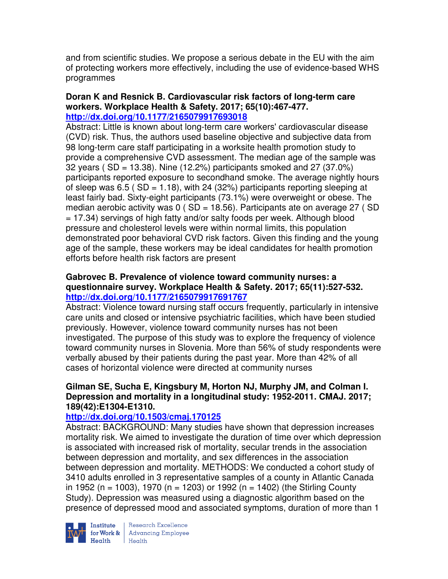and from scientific studies. We propose a serious debate in the EU with the aim of protecting workers more effectively, including the use of evidence-based WHS programmes

### **Doran K and Resnick B. Cardiovascular risk factors of long-term care workers. Workplace Health & Safety. 2017; 65(10):467-477. http://dx.doi.org/10.1177/2165079917693018**

Abstract: Little is known about long-term care workers' cardiovascular disease (CVD) risk. Thus, the authors used baseline objective and subjective data from 98 long-term care staff participating in a worksite health promotion study to provide a comprehensive CVD assessment. The median age of the sample was 32 years ( SD = 13.38). Nine (12.2%) participants smoked and 27 (37.0%) participants reported exposure to secondhand smoke. The average nightly hours of sleep was  $6.5$  ( SD = 1.18), with 24 (32%) participants reporting sleeping at least fairly bad. Sixty-eight participants (73.1%) were overweight or obese. The median aerobic activity was  $0$  ( SD = 18.56). Participants ate on average 27 ( SD = 17.34) servings of high fatty and/or salty foods per week. Although blood pressure and cholesterol levels were within normal limits, this population demonstrated poor behavioral CVD risk factors. Given this finding and the young age of the sample, these workers may be ideal candidates for health promotion efforts before health risk factors are present

# **Gabrovec B. Prevalence of violence toward community nurses: a questionnaire survey. Workplace Health & Safety. 2017; 65(11):527-532. http://dx.doi.org/10.1177/2165079917691767**

Abstract: Violence toward nursing staff occurs frequently, particularly in intensive care units and closed or intensive psychiatric facilities, which have been studied previously. However, violence toward community nurses has not been investigated. The purpose of this study was to explore the frequency of violence toward community nurses in Slovenia. More than 56% of study respondents were verbally abused by their patients during the past year. More than 42% of all cases of horizontal violence were directed at community nurses

## **Gilman SE, Sucha E, Kingsbury M, Horton NJ, Murphy JM, and Colman I. Depression and mortality in a longitudinal study: 1952-2011. CMAJ. 2017; 189(42):E1304-E1310.**

# **http://dx.doi.org/10.1503/cmaj.170125**

Abstract: BACKGROUND: Many studies have shown that depression increases mortality risk. We aimed to investigate the duration of time over which depression is associated with increased risk of mortality, secular trends in the association between depression and mortality, and sex differences in the association between depression and mortality. METHODS: We conducted a cohort study of 3410 adults enrolled in 3 representative samples of a county in Atlantic Canada in 1952 (n = 1003), 1970 (n = 1203) or 1992 (n = 1402) (the Stirling County Study). Depression was measured using a diagnostic algorithm based on the presence of depressed mood and associated symptoms, duration of more than 1



Institute Research Excellence<br>for Work & Advancing Employee<br>Health Health Health Health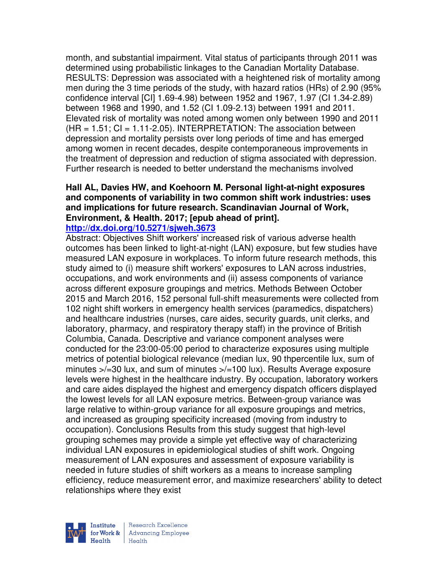month, and substantial impairment. Vital status of participants through 2011 was determined using probabilistic linkages to the Canadian Mortality Database. RESULTS: Depression was associated with a heightened risk of mortality among men during the 3 time periods of the study, with hazard ratios (HRs) of 2.90 (95% confidence interval [CI] 1.69-4.98) between 1952 and 1967, 1.97 (CI 1.34-2.89) between 1968 and 1990, and 1.52 (CI 1.09-2.13) between 1991 and 2011. Elevated risk of mortality was noted among women only between 1990 and 2011  $(HR = 1.51; Cl = 1.11-2.05)$ . INTERPRETATION: The association between depression and mortality persists over long periods of time and has emerged among women in recent decades, despite contemporaneous improvements in the treatment of depression and reduction of stigma associated with depression. Further research is needed to better understand the mechanisms involved

### **Hall AL, Davies HW, and Koehoorn M. Personal light-at-night exposures and components of variability in two common shift work industries: uses and implications for future research. Scandinavian Journal of Work, Environment, & Health. 2017; [epub ahead of print]. http://dx.doi.org/10.5271/sjweh.3673**

Abstract: Objectives Shift workers' increased risk of various adverse health

outcomes has been linked to light-at-night (LAN) exposure, but few studies have measured LAN exposure in workplaces. To inform future research methods, this study aimed to (i) measure shift workers' exposures to LAN across industries, occupations, and work environments and (ii) assess components of variance across different exposure groupings and metrics. Methods Between October 2015 and March 2016, 152 personal full-shift measurements were collected from 102 night shift workers in emergency health services (paramedics, dispatchers) and healthcare industries (nurses, care aides, security guards, unit clerks, and laboratory, pharmacy, and respiratory therapy staff) in the province of British Columbia, Canada. Descriptive and variance component analyses were conducted for the 23:00-05:00 period to characterize exposures using multiple metrics of potential biological relevance (median lux, 90 thpercentile lux, sum of minutes >/=30 lux, and sum of minutes >/=100 lux). Results Average exposure levels were highest in the healthcare industry. By occupation, laboratory workers and care aides displayed the highest and emergency dispatch officers displayed the lowest levels for all LAN exposure metrics. Between-group variance was large relative to within-group variance for all exposure groupings and metrics, and increased as grouping specificity increased (moving from industry to occupation). Conclusions Results from this study suggest that high-level grouping schemes may provide a simple yet effective way of characterizing

individual LAN exposures in epidemiological studies of shift work. Ongoing measurement of LAN exposures and assessment of exposure variability is needed in future studies of shift workers as a means to increase sampling efficiency, reduce measurement error, and maximize researchers' ability to detect relationships where they exist

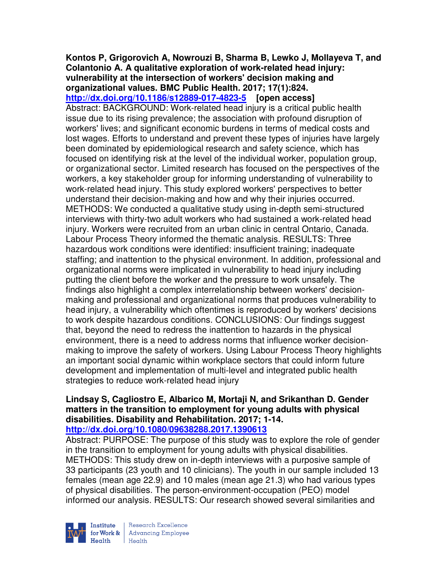#### **Kontos P, Grigorovich A, Nowrouzi B, Sharma B, Lewko J, Mollayeva T, and Colantonio A. A qualitative exploration of work-related head injury: vulnerability at the intersection of workers' decision making and organizational values. BMC Public Health. 2017; 17(1):824. http://dx.doi.org/10.1186/s12889-017-4823-5 [open access]**

Abstract: BACKGROUND: Work-related head injury is a critical public health issue due to its rising prevalence; the association with profound disruption of workers' lives; and significant economic burdens in terms of medical costs and lost wages. Efforts to understand and prevent these types of injuries have largely been dominated by epidemiological research and safety science, which has focused on identifying risk at the level of the individual worker, population group, or organizational sector. Limited research has focused on the perspectives of the workers, a key stakeholder group for informing understanding of vulnerability to work-related head injury. This study explored workers' perspectives to better understand their decision-making and how and why their injuries occurred. METHODS: We conducted a qualitative study using in-depth semi-structured interviews with thirty-two adult workers who had sustained a work-related head injury. Workers were recruited from an urban clinic in central Ontario, Canada. Labour Process Theory informed the thematic analysis. RESULTS: Three hazardous work conditions were identified: insufficient training; inadequate staffing; and inattention to the physical environment. In addition, professional and organizational norms were implicated in vulnerability to head injury including putting the client before the worker and the pressure to work unsafely. The findings also highlight a complex interrelationship between workers' decisionmaking and professional and organizational norms that produces vulnerability to head injury, a vulnerability which oftentimes is reproduced by workers' decisions to work despite hazardous conditions. CONCLUSIONS: Our findings suggest that, beyond the need to redress the inattention to hazards in the physical environment, there is a need to address norms that influence worker decisionmaking to improve the safety of workers. Using Labour Process Theory highlights an important social dynamic within workplace sectors that could inform future development and implementation of multi-level and integrated public health strategies to reduce work-related head injury

### **Lindsay S, Cagliostro E, Albarico M, Mortaji N, and Srikanthan D. Gender matters in the transition to employment for young adults with physical disabilities. Disability and Rehabilitation. 2017; 1-14. http://dx.doi.org/10.1080/09638288.2017.1390613**

Abstract: PURPOSE: The purpose of this study was to explore the role of gender in the transition to employment for young adults with physical disabilities. METHODS: This study drew on in-depth interviews with a purposive sample of 33 participants (23 youth and 10 clinicians). The youth in our sample included 13 females (mean age 22.9) and 10 males (mean age 21.3) who had various types of physical disabilities. The person-environment-occupation (PEO) model informed our analysis. RESULTS: Our research showed several similarities and

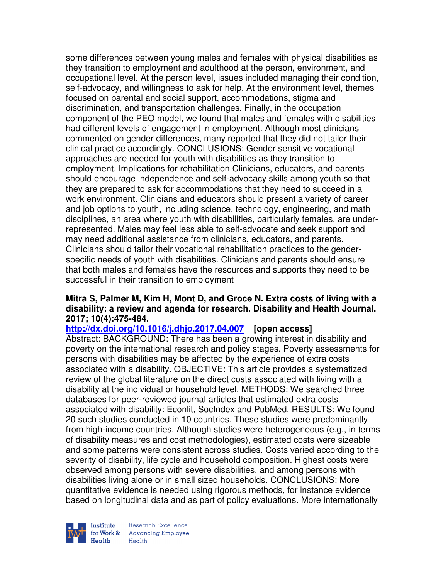some differences between young males and females with physical disabilities as they transition to employment and adulthood at the person, environment, and occupational level. At the person level, issues included managing their condition, self-advocacy, and willingness to ask for help. At the environment level, themes focused on parental and social support, accommodations, stigma and discrimination, and transportation challenges. Finally, in the occupation component of the PEO model, we found that males and females with disabilities had different levels of engagement in employment. Although most clinicians commented on gender differences, many reported that they did not tailor their clinical practice accordingly. CONCLUSIONS: Gender sensitive vocational approaches are needed for youth with disabilities as they transition to employment. Implications for rehabilitation Clinicians, educators, and parents should encourage independence and self-advocacy skills among youth so that they are prepared to ask for accommodations that they need to succeed in a work environment. Clinicians and educators should present a variety of career and job options to youth, including science, technology, engineering, and math disciplines, an area where youth with disabilities, particularly females, are underrepresented. Males may feel less able to self-advocate and seek support and may need additional assistance from clinicians, educators, and parents. Clinicians should tailor their vocational rehabilitation practices to the genderspecific needs of youth with disabilities. Clinicians and parents should ensure that both males and females have the resources and supports they need to be successful in their transition to employment

### **Mitra S, Palmer M, Kim H, Mont D, and Groce N. Extra costs of living with a disability: a review and agenda for research. Disability and Health Journal. 2017; 10(4):475-484.**

### **http://dx.doi.org/10.1016/j.dhjo.2017.04.007 [open access]**

Abstract: BACKGROUND: There has been a growing interest in disability and poverty on the international research and policy stages. Poverty assessments for persons with disabilities may be affected by the experience of extra costs associated with a disability. OBJECTIVE: This article provides a systematized review of the global literature on the direct costs associated with living with a disability at the individual or household level. METHODS: We searched three databases for peer-reviewed journal articles that estimated extra costs associated with disability: Econlit, SocIndex and PubMed. RESULTS: We found 20 such studies conducted in 10 countries. These studies were predominantly from high-income countries. Although studies were heterogeneous (e.g., in terms of disability measures and cost methodologies), estimated costs were sizeable and some patterns were consistent across studies. Costs varied according to the severity of disability, life cycle and household composition. Highest costs were observed among persons with severe disabilities, and among persons with disabilities living alone or in small sized households. CONCLUSIONS: More quantitative evidence is needed using rigorous methods, for instance evidence based on longitudinal data and as part of policy evaluations. More internationally

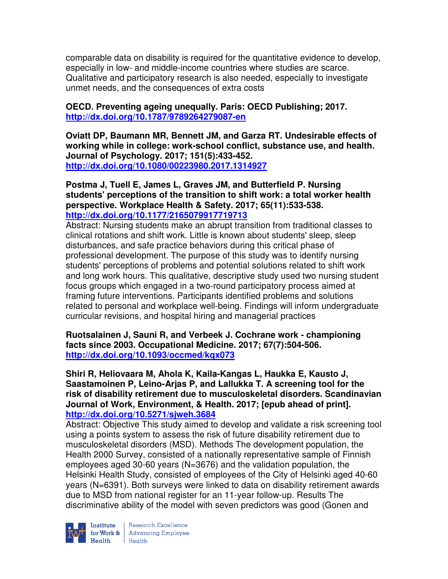comparable data on disability is required for the quantitative evidence to develop, especially in low- and middle-income countries where studies are scarce. Qualitative and participatory research is also needed, especially to investigate unmet needs, and the consequences of extra costs

# **OECD. Preventing ageing unequally. Paris: OECD Publishing; 2017. http://dx.doi.org/10.1787/9789264279087-en**

**Oviatt DP, Baumann MR, Bennett JM, and Garza RT. Undesirable effects of working while in college: work-school conflict, substance use, and health. Journal of Psychology. 2017; 151(5):433-452. http://dx.doi.org/10.1080/00223980.2017.1314927** 

**Postma J, Tuell E, James L, Graves JM, and Butterfield P. Nursing students' perceptions of the transition to shift work: a total worker health perspective. Workplace Health & Safety. 2017; 65(11):533-538. http://dx.doi.org/10.1177/2165079917719713** 

Abstract: Nursing students make an abrupt transition from traditional classes to clinical rotations and shift work. Little is known about students' sleep, sleep disturbances, and safe practice behaviors during this critical phase of professional development. The purpose of this study was to identify nursing students' perceptions of problems and potential solutions related to shift work and long work hours. This qualitative, descriptive study used two nursing student focus groups which engaged in a two-round participatory process aimed at framing future interventions. Participants identified problems and solutions related to personal and workplace well-being. Findings will inform undergraduate curricular revisions, and hospital hiring and managerial practices

**Ruotsalainen J, Sauni R, and Verbeek J. Cochrane work - championing facts since 2003. Occupational Medicine. 2017; 67(7):504-506. http://dx.doi.org/10.1093/occmed/kqx073** 

**Shiri R, Heliovaara M, Ahola K, Kaila-Kangas L, Haukka E, Kausto J, Saastamoinen P, Leino-Arjas P, and Lallukka T. A screening tool for the risk of disability retirement due to musculoskeletal disorders. Scandinavian Journal of Work, Environment, & Health. 2017; [epub ahead of print]. http://dx.doi.org/10.5271/sjweh.3684** 

Abstract: Objective This study aimed to develop and validate a risk screening tool using a points system to assess the risk of future disability retirement due to musculoskeletal disorders (MSD). Methods The development population, the Health 2000 Survey, consisted of a nationally representative sample of Finnish employees aged 30-60 years (N=3676) and the validation population, the Helsinki Health Study, consisted of employees of the City of Helsinki aged 40-60 years (N=6391). Both surveys were linked to data on disability retirement awards due to MSD from national register for an 11-year follow-up. Results The discriminative ability of the model with seven predictors was good (Gonen and



Institute Research Excellence<br>
for Work & Advancing Employee<br>
Health Health